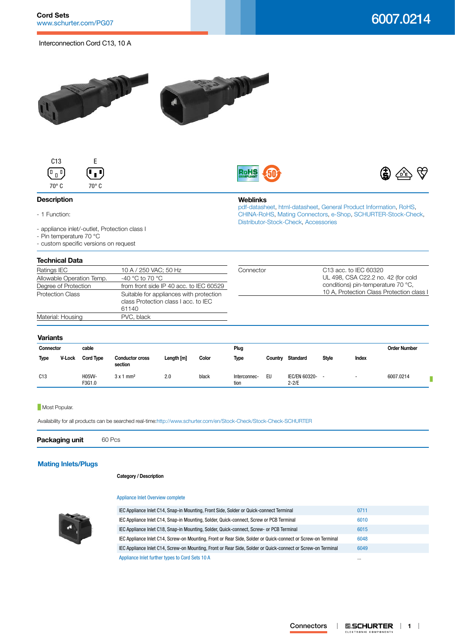Interconnection Cord C13, 10 A







**Weblinks**

[Distributor-Stock-Check,](http:///en/Stock-Check/Stock-Check-Distributor?partnumber1=6007.0214) [Accessories](http://www.schurter.ch/wwwsc/con_z01.asp)

[pdf-datasheet](http://www.schurter.ch/pdf/english/typ_6007.0214.pdf), [html-datasheet](http://www.schurter.ch/en/datasheet/6007.0214), [General Product Information,](http://www.schurter.ch/products/iec_connector_overview.asp) [RoHS,](http://www.schurter.ch/company/rohs.asp) [CHINA-RoHS,](http://www.schurter.ch/company/china_rohs.asp) [Mating Connectors](http://www.schurter.ch/Components/Connectors/Mating-Connectors), [e-Shop](http:///en/Stock-Check/e-Shop?MATNR=6007.0214&COM_QTY=1&AUTOSEARCH=true&VARIANT=E-SHOP), [SCHURTER-Stock-Check](http:///en/Stock-Check/Stock-Check-SCHURTER?MATNR=6007.0214&COM_QTY=60&AUTOSEARCH=true),



## **Description**

- 1 Function:

- appliance inlet/-outlet, Protection class I

- Pin temperature 70 °C
- custom specific versions on request

# **Technical Data**

| IGUI II IIU DUU                              |                                         |           |                                           |  |  |
|----------------------------------------------|-----------------------------------------|-----------|-------------------------------------------|--|--|
| Ratings IEC                                  | 10 A / 250 VAC; 50 Hz                   | Connector | C <sub>13</sub> acc. to IEC 60320         |  |  |
| -40 °C to 70 °C<br>Allowable Operation Temp. |                                         |           | UL 498, CSA C22.2 no. 42 (for cold        |  |  |
| Degree of Protection                         | from front side IP 40 acc. to IEC 60529 |           | conditions) pin-temperature 70 °C.        |  |  |
| <b>Protection Class</b>                      | Suitable for appliances with protection |           | 10 A, Protection Class Protection class I |  |  |
|                                              | class Protection class I acc. to IEC    |           |                                           |  |  |
|                                              | 61140                                   |           |                                           |  |  |
| Material: Housing                            | PVC, black                              |           |                                           |  |  |
|                                              |                                         |           |                                           |  |  |

## **Variants**

| Connector   |               | cable            |                                   |            |       | Plug                 |         |                                   |              |                          | <b>Order Number</b> |
|-------------|---------------|------------------|-----------------------------------|------------|-------|----------------------|---------|-----------------------------------|--------------|--------------------------|---------------------|
| <b>Type</b> | <b>V-Lock</b> | <b>Cord Type</b> | <b>Conductor cross</b><br>section | Length [m] | Color | <b>Type</b>          | Country | <b>Standard</b>                   | <b>Style</b> | Index                    |                     |
| C13         |               | H05W-<br>F3G1.0  | $3 \times 1$ mm <sup>2</sup>      | 2.0        | black | Interconnec-<br>tion | EU      | <b>IEC/EN 60320-</b><br>$2 - 2/E$ |              | $\overline{\phantom{0}}$ | 6007.0214           |

#### **Most Popular.**

Availability for all products can be searched real-time[:http://www.schurter.com/en/Stock-Check/Stock-Check-SCHURTER](http://www.schurter.com/en/Stock-Check/Stock-Check-SCHURTER)

**Packaging unit** 60 Pcs

# **[Mating Inlets/Plugs](http://www.schurter.ch/Components/Connectors/Mating-Connectors?out_type=Cord_Sets_10_A)**

#### **Category / Description**

#### [Appliance Inlet Overview complete](http://www.schurter.ch/pg07)



| IEC Appliance Inlet C14, Snap-in Mounting, Front Side, Solder or Quick-connect Terminal                      | 0711     |
|--------------------------------------------------------------------------------------------------------------|----------|
| IEC Appliance Inlet C14, Snap-in Mounting, Solder, Quick-connect, Screw or PCB Terminal                      | 6010     |
| IEC Appliance Inlet C18, Snap-in Mounting, Solder, Quick-connect, Screw- or PCB Terminal                     | 6015     |
| IEC Appliance Inlet C14, Screw-on Mounting, Front or Rear Side, Solder or Quick-connect or Screw-on Terminal | 6048     |
| IEC Appliance Inlet C14, Screw-on Mounting, Front or Rear Side, Solder or Quick-connect or Screw-on Terminal | 6049     |
| Appliance Inlet further types to Cord Sets 10 A                                                              | $\cdots$ |